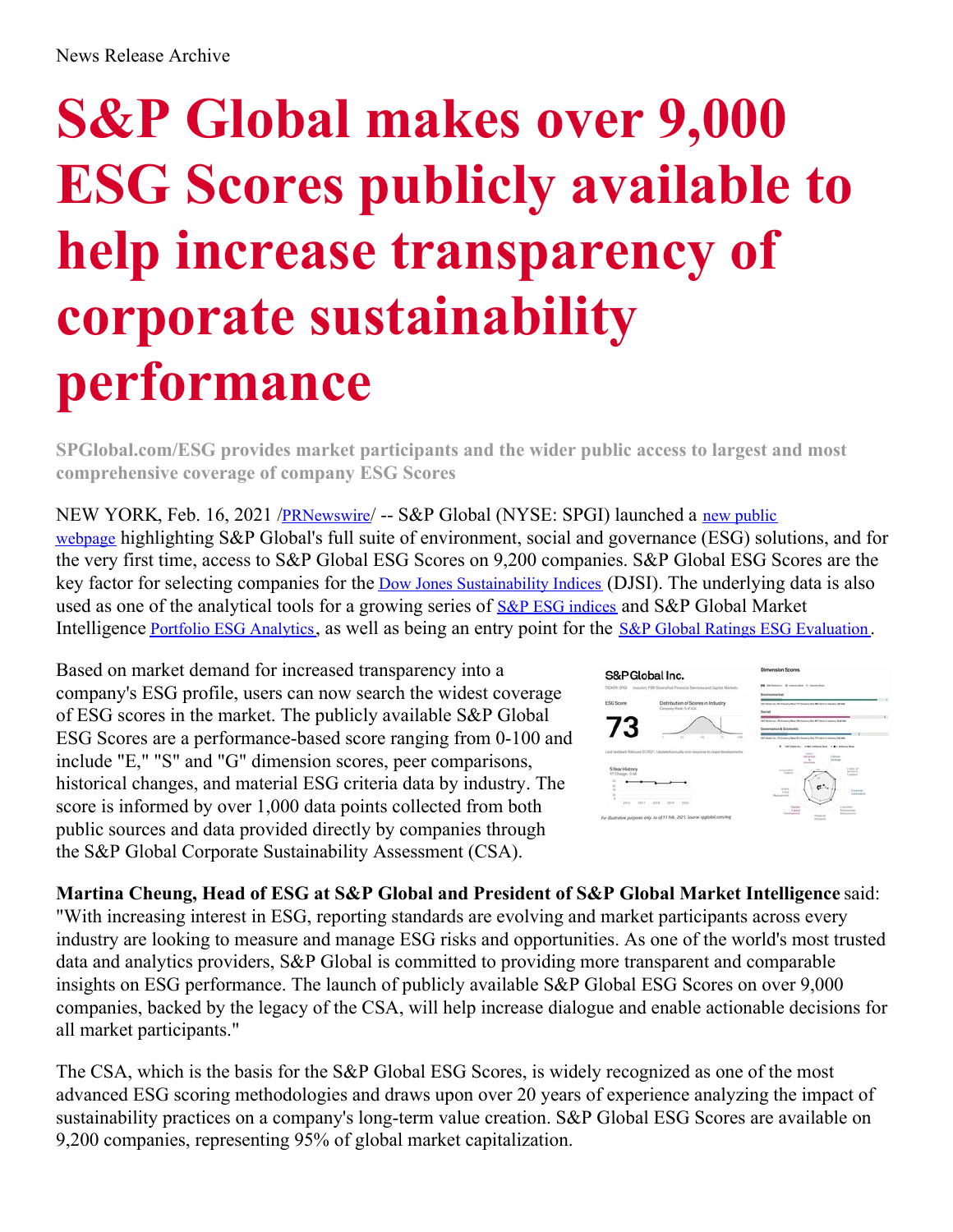## **S&P Global makes over 9,000 ESG Scores publicly available to help increase transparency of corporate sustainability performance**

**SPGlobal.com/ESG provides market participants and the wider public access to largest and most comprehensive coverage of company ESG Scores**

NEW YORK, Feb. 16, 2021 /[PRNewswire](http://www.prnewswire.com/)/ -- S&P Global (NYSE: SPGI) launched a new public webpage highlighting S&P Global's full suite of [environment,](https://www.spglobal.com/esg) social and governance (ESG) solutions, and for the very first time, access to S&P Global ESG Scores on 9,200 companies. S&P Global ESG Scores are the key factor for selecting companies for the Dow Jones [Sustainability](https://c212.net/c/link/?t=0&l=en&o=3068714-1&h=2636315246&u=https%3A%2F%2Fwww.spglobal.com%2Fesg%2Fperformance%2Findices%2Fdjsi-index-family&a=Dow+Jones+Sustainability+Indices) Indices (DJSI). The underlying data is also used as one of the analytical tools for a growing series of **S&P** ESG [indices](https://c212.net/c/link/?t=0&l=en&o=3068714-1&h=119177911&u=https%3A%2F%2Fwww.spglobal.com%2Fesg%2Fperformance%2Findices%2Fesg-index-family&a=S%26P+ESG+indices) and **S&P** Global Market Intelligence Portfolio ESG [Analytics](https://c212.net/c/link/?t=0&l=en&o=3068714-1&h=1792791514&u=https%3A%2F%2Fwww.spglobal.com%2Fmarketintelligence%2Fen%2Fcampaigns%2Fportfolio-esg-analytics&a=Portfolio+ESG+Analytics), as well as being an entry point for the S&P Global Ratings ESG [Evaluation](https://c212.net/c/link/?t=0&l=en&o=3068714-1&h=3194791537&u=https%3A%2F%2Fwww.spglobal.com%2Fratings%2Fen%2Fproducts-benefits%2Fproducts%2Fesg-evaluation&a=S%26P+Global+Ratings+ESG+Evaluation).

Based on market demand for increased transparency into a company's ESG profile, users can now search the widest coverage of ESG scores in the market. The publicly available S&P Global ESG Scores are a performance-based score ranging from 0-100 and include "E," "S" and "G" dimension scores, peer comparisons, historical changes, and material ESG criteria data by industry. The score is informed by over 1,000 data points collected from both public sources and data provided directly by companies through the S&P Global Corporate Sustainability Assessment (CSA).



**Martina Cheung, Head of ESG at S&P Global and President of S&P Global Market Intelligence** said: "With increasing interest in ESG, reporting standards are evolving and market participants across every industry are looking to measure and manage ESG risks and opportunities. As one of the world's most trusted data and analytics providers, S&P Global is committed to providing more transparent and comparable insights on ESG performance. The launch of publicly available S&P Global ESG Scores on over 9,000 companies, backed by the legacy of the CSA, will help increase dialogue and enable actionable decisions for all market participants."

The CSA, which is the basis for the S&P Global ESG Scores, is widely recognized as one of the most advanced ESG scoring methodologies and draws upon over 20 years of experience analyzing the impact of sustainability practices on a company's long-term value creation. S&P Global ESG Scores are available on 9,200 companies, representing 95% of global market capitalization.